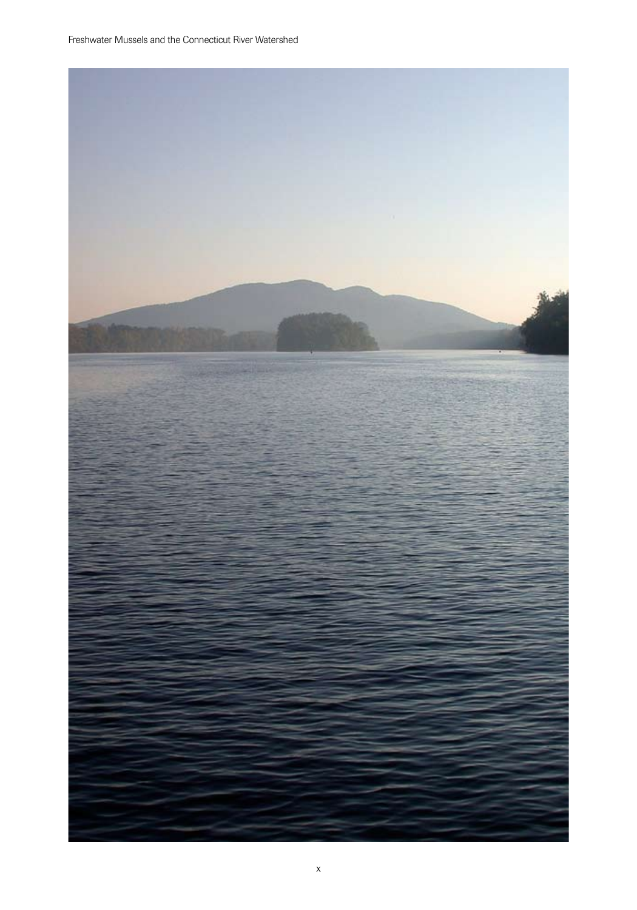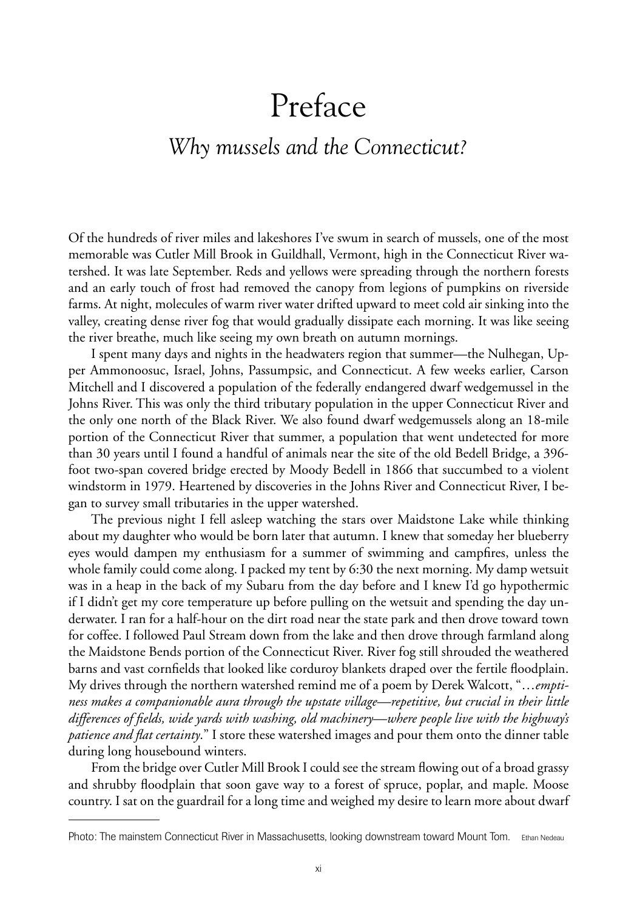## Preface

## *Why mussels and the Connecticut?*

Of the hundreds of river miles and lakeshores I've swum in search of mussels, one of the most memorable was Cutler Mill Brook in Guildhall, Vermont, high in the Connecticut River watershed. It was late September. Reds and yellows were spreading through the northern forests and an early touch of frost had removed the canopy from legions of pumpkins on riverside farms. At night, molecules of warm river water drifted upward to meet cold air sinking into the valley, creating dense river fog that would gradually dissipate each morning. It was like seeing the river breathe, much like seeing my own breath on autumn mornings.

I spent many days and nights in the headwaters region that summer—the Nulhegan, Upper Ammonoosuc, Israel, Johns, Passumpsic, and Connecticut. A few weeks earlier, Carson Mitchell and I discovered a population of the federally endangered dwarf wedgemussel in the Johns River. This was only the third tributary population in the upper Connecticut River and the only one north of the Black River. We also found dwarf wedgemussels along an 18-mile portion of the Connecticut River that summer, a population that went undetected for more than 30 years until I found a handful of animals near the site of the old Bedell Bridge, a 396 foot two-span covered bridge erected by Moody Bedell in 1866 that succumbed to a violent windstorm in 1979. Heartened by discoveries in the Johns River and Connecticut River, I began to survey small tributaries in the upper watershed.

The previous night I fell asleep watching the stars over Maidstone Lake while thinking about my daughter who would be born later that autumn. I knew that someday her blueberry eyes would dampen my enthusiasm for a summer of swimming and campfires, unless the whole family could come along. I packed my tent by 6:30 the next morning. My damp wetsuit was in a heap in the back of my Subaru from the day before and I knew I'd go hypothermic if I didn't get my core temperature up before pulling on the wetsuit and spending the day underwater. I ran for a half-hour on the dirt road near the state park and then drove toward town for coffee. I followed Paul Stream down from the lake and then drove through farmland along the Maidstone Bends portion of the Connecticut River. River fog still shrouded the weathered barns and vast cornfields that looked like corduroy blankets draped over the fertile floodplain. My drives through the northern watershed remind me of a poem by Derek Walcott, "…*emptiness makes a companionable aura through the upstate village—repetitive, but crucial in their little differences of fields, wide yards with washing, old machinery—where people live with the highway's patience and flat certainty*." I store these watershed images and pour them onto the dinner table during long housebound winters.

From the bridge over Cutler Mill Brook I could see the stream flowing out of a broad grassy and shrubby floodplain that soon gave way to a forest of spruce, poplar, and maple. Moose country. I sat on the guardrail for a long time and weighed my desire to learn more about dwarf

Photo: The mainstem Connecticut River in Massachusetts, looking downstream toward Mount Tom. Ethan Nedeau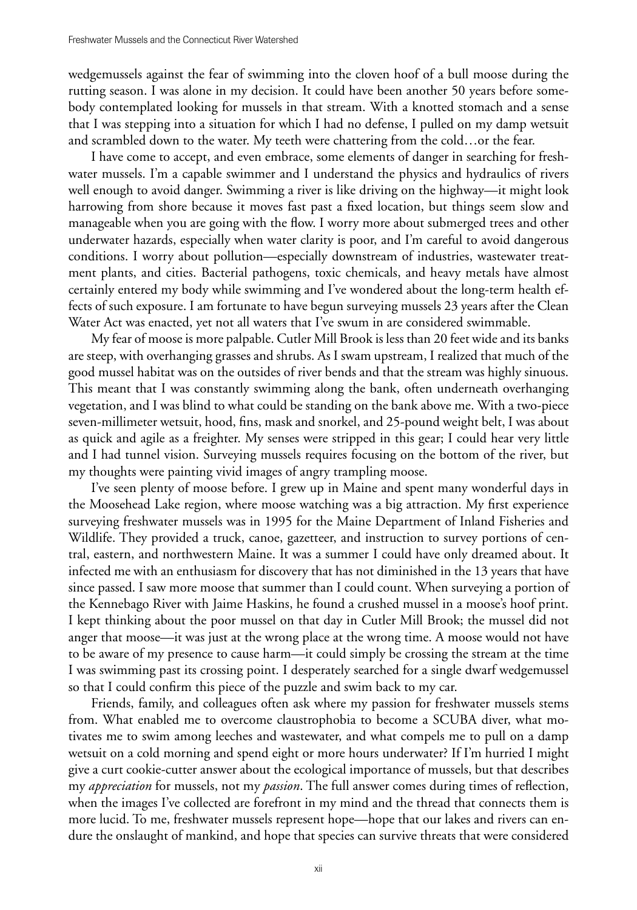wedgemussels against the fear of swimming into the cloven hoof of a bull moose during the rutting season. I was alone in my decision. It could have been another 50 years before somebody contemplated looking for mussels in that stream. With a knotted stomach and a sense that I was stepping into a situation for which I had no defense, I pulled on my damp wetsuit and scrambled down to the water. My teeth were chattering from the cold…or the fear.

I have come to accept, and even embrace, some elements of danger in searching for freshwater mussels. I'm a capable swimmer and I understand the physics and hydraulics of rivers well enough to avoid danger. Swimming a river is like driving on the highway—it might look harrowing from shore because it moves fast past a fixed location, but things seem slow and manageable when you are going with the flow. I worry more about submerged trees and other underwater hazards, especially when water clarity is poor, and I'm careful to avoid dangerous conditions. I worry about pollution—especially downstream of industries, wastewater treatment plants, and cities. Bacterial pathogens, toxic chemicals, and heavy metals have almost certainly entered my body while swimming and I've wondered about the long-term health effects of such exposure. I am fortunate to have begun surveying mussels 23 years after the Clean Water Act was enacted, yet not all waters that I've swum in are considered swimmable.

My fear of moose is more palpable. Cutler Mill Brook is less than 20 feet wide and its banks are steep, with overhanging grasses and shrubs. As I swam upstream, I realized that much of the good mussel habitat was on the outsides of river bends and that the stream was highly sinuous. This meant that I was constantly swimming along the bank, often underneath overhanging vegetation, and I was blind to what could be standing on the bank above me. With a two-piece seven-millimeter wetsuit, hood, fins, mask and snorkel, and 25-pound weight belt, I was about as quick and agile as a freighter. My senses were stripped in this gear; I could hear very little and I had tunnel vision. Surveying mussels requires focusing on the bottom of the river, but my thoughts were painting vivid images of angry trampling moose.

I've seen plenty of moose before. I grew up in Maine and spent many wonderful days in the Moosehead Lake region, where moose watching was a big attraction. My first experience surveying freshwater mussels was in 1995 for the Maine Department of Inland Fisheries and Wildlife. They provided a truck, canoe, gazetteer, and instruction to survey portions of central, eastern, and northwestern Maine. It was a summer I could have only dreamed about. It infected me with an enthusiasm for discovery that has not diminished in the 13 years that have since passed. I saw more moose that summer than I could count. When surveying a portion of the Kennebago River with Jaime Haskins, he found a crushed mussel in a moose's hoof print. I kept thinking about the poor mussel on that day in Cutler Mill Brook; the mussel did not anger that moose—it was just at the wrong place at the wrong time. A moose would not have to be aware of my presence to cause harm—it could simply be crossing the stream at the time I was swimming past its crossing point. I desperately searched for a single dwarf wedgemussel so that I could confirm this piece of the puzzle and swim back to my car.

Friends, family, and colleagues often ask where my passion for freshwater mussels stems from. What enabled me to overcome claustrophobia to become a SCUBA diver, what motivates me to swim among leeches and wastewater, and what compels me to pull on a damp wetsuit on a cold morning and spend eight or more hours underwater? If I'm hurried I might give a curt cookie-cutter answer about the ecological importance of mussels, but that describes my *appreciation* for mussels, not my *passion*. The full answer comes during times of reflection, when the images I've collected are forefront in my mind and the thread that connects them is more lucid. To me, freshwater mussels represent hope—hope that our lakes and rivers can endure the onslaught of mankind, and hope that species can survive threats that were considered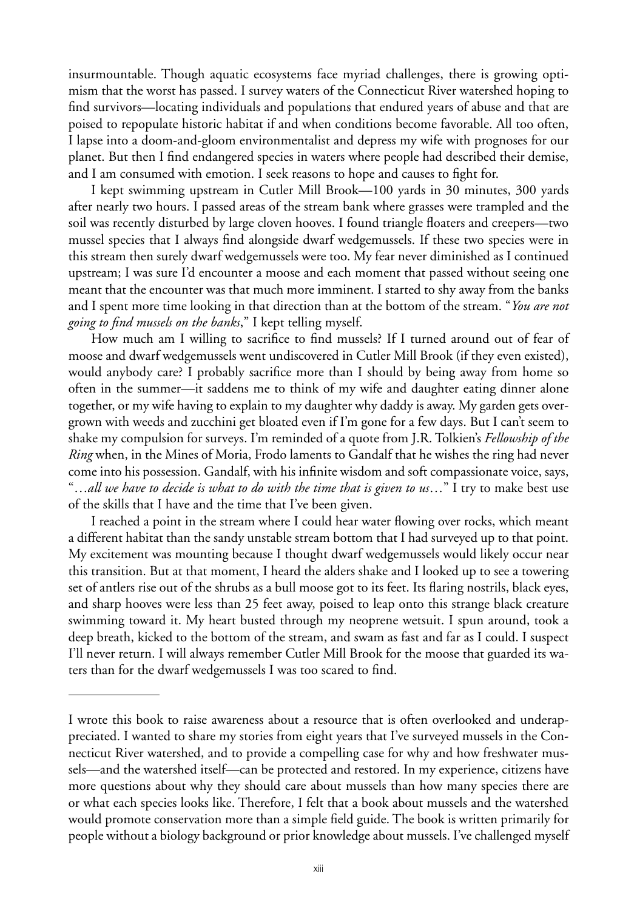insurmountable. Though aquatic ecosystems face myriad challenges, there is growing optimism that the worst has passed. I survey waters of the Connecticut River watershed hoping to find survivors—locating individuals and populations that endured years of abuse and that are poised to repopulate historic habitat if and when conditions become favorable. All too often, I lapse into a doom-and-gloom environmentalist and depress my wife with prognoses for our planet. But then I find endangered species in waters where people had described their demise, and I am consumed with emotion. I seek reasons to hope and causes to fight for.

I kept swimming upstream in Cutler Mill Brook—100 yards in 30 minutes, 300 yards after nearly two hours. I passed areas of the stream bank where grasses were trampled and the soil was recently disturbed by large cloven hooves. I found triangle floaters and creepers—two mussel species that I always find alongside dwarf wedgemussels. If these two species were in this stream then surely dwarf wedgemussels were too. My fear never diminished as I continued upstream; I was sure I'd encounter a moose and each moment that passed without seeing one meant that the encounter was that much more imminent. I started to shy away from the banks and I spent more time looking in that direction than at the bottom of the stream. "*You are not going to find mussels on the banks*," I kept telling myself.

How much am I willing to sacrifice to find mussels? If I turned around out of fear of moose and dwarf wedgemussels went undiscovered in Cutler Mill Brook (if they even existed), would anybody care? I probably sacrifice more than I should by being away from home so often in the summer—it saddens me to think of my wife and daughter eating dinner alone together, or my wife having to explain to my daughter why daddy is away. My garden gets overgrown with weeds and zucchini get bloated even if I'm gone for a few days. But I can't seem to shake my compulsion for surveys. I'm reminded of a quote from J.R. Tolkien's *Fellowship of the Ring* when, in the Mines of Moria, Frodo laments to Gandalf that he wishes the ring had never come into his possession. Gandalf, with his infinite wisdom and soft compassionate voice, says, "…*all we have to decide is what to do with the time that is given to us*…" I try to make best use of the skills that I have and the time that I've been given.

I reached a point in the stream where I could hear water flowing over rocks, which meant a different habitat than the sandy unstable stream bottom that I had surveyed up to that point. My excitement was mounting because I thought dwarf wedgemussels would likely occur near this transition. But at that moment, I heard the alders shake and I looked up to see a towering set of antlers rise out of the shrubs as a bull moose got to its feet. Its flaring nostrils, black eyes, and sharp hooves were less than 25 feet away, poised to leap onto this strange black creature swimming toward it. My heart busted through my neoprene wetsuit. I spun around, took a deep breath, kicked to the bottom of the stream, and swam as fast and far as I could. I suspect I'll never return. I will always remember Cutler Mill Brook for the moose that guarded its waters than for the dwarf wedgemussels I was too scared to find.

I wrote this book to raise awareness about a resource that is often overlooked and underappreciated. I wanted to share my stories from eight years that I've surveyed mussels in the Connecticut River watershed, and to provide a compelling case for why and how freshwater mussels—and the watershed itself—can be protected and restored. In my experience, citizens have more questions about why they should care about mussels than how many species there are or what each species looks like. Therefore, I felt that a book about mussels and the watershed would promote conservation more than a simple field guide. The book is written primarily for people without a biology background or prior knowledge about mussels. I've challenged myself